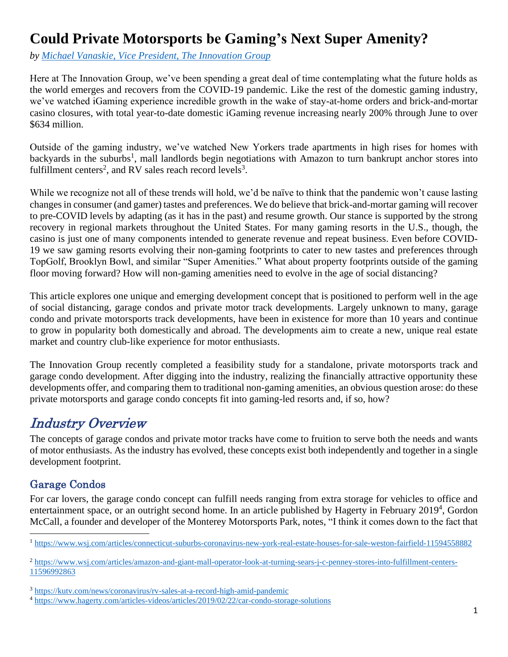# **Could Private Motorsports be Gaming's Next Super Amenity?**

*by [Michael Vanaskie, Vice President,](http://theinnovationgroup.com/about/michael-vanaskie/) The Innovation Group*

Here at The Innovation Group, we've been spending a great deal of time contemplating what the future holds as the world emerges and recovers from the COVID-19 pandemic. Like the rest of the domestic gaming industry, we've watched iGaming experience incredible growth in the wake of stay-at-home orders and brick-and-mortar casino closures, with total year-to-date domestic iGaming revenue increasing nearly 200% through June to over \$634 million.

Outside of the gaming industry, we've watched New Yorkers trade apartments in high rises for homes with backyards in the suburbs<sup>1</sup>, mall landlords begin negotiations with Amazon to turn bankrupt anchor stores into fulfillment centers<sup>2</sup>, and RV sales reach record levels<sup>3</sup>.

While we recognize not all of these trends will hold, we'd be naïve to think that the pandemic won't cause lasting changes in consumer (and gamer) tastes and preferences. We do believe that brick-and-mortar gaming will recover to pre-COVID levels by adapting (as it has in the past) and resume growth. Our stance is supported by the strong recovery in regional markets throughout the United States. For many gaming resorts in the U.S., though, the casino is just one of many components intended to generate revenue and repeat business. Even before COVID-19 we saw gaming resorts evolving their non-gaming footprints to cater to new tastes and preferences through TopGolf, Brooklyn Bowl, and similar "Super Amenities." What about property footprints outside of the gaming floor moving forward? How will non-gaming amenities need to evolve in the age of social distancing?

This article explores one unique and emerging development concept that is positioned to perform well in the age of social distancing, garage condos and private motor track developments. Largely unknown to many, garage condo and private motorsports track developments, have been in existence for more than 10 years and continue to grow in popularity both domestically and abroad. The developments aim to create a new, unique real estate market and country club-like experience for motor enthusiasts.

The Innovation Group recently completed a feasibility study for a standalone, private motorsports track and garage condo development. After digging into the industry, realizing the financially attractive opportunity these developments offer, and comparing them to traditional non-gaming amenities, an obvious question arose: do these private motorsports and garage condo concepts fit into gaming-led resorts and, if so, how?

## Industry Overview

The concepts of garage condos and private motor tracks have come to fruition to serve both the needs and wants of motor enthusiasts. As the industry has evolved, these concepts exist both independently and together in a single development footprint.

### Garage Condos

For car lovers, the garage condo concept can fulfill needs ranging from extra storage for vehicles to office and entertainment space, or an outright second home. In an article published by Hagerty in February  $2019<sup>4</sup>$ , Gordon McCall, a founder and developer of the Monterey Motorsports Park, notes, "I think it comes down to the fact that

<sup>1</sup> <https://www.wsj.com/articles/connecticut-suburbs-coronavirus-new-york-real-estate-houses-for-sale-weston-fairfield-11594558882>

<sup>2</sup> [https://www.wsj.com/articles/amazon-and-giant-mall-operator-look-at-turning-sears-j-c-penney-stores-into-fulfillment-centers-](https://www.wsj.com/articles/amazon-and-giant-mall-operator-look-at-turning-sears-j-c-penney-stores-into-fulfillment-centers-11596992863)[11596992863](https://www.wsj.com/articles/amazon-and-giant-mall-operator-look-at-turning-sears-j-c-penney-stores-into-fulfillment-centers-11596992863)

<sup>3</sup> <https://kutv.com/news/coronavirus/rv-sales-at-a-record-high-amid-pandemic>

<sup>4</sup> <https://www.hagerty.com/articles-videos/articles/2019/02/22/car-condo-storage-solutions>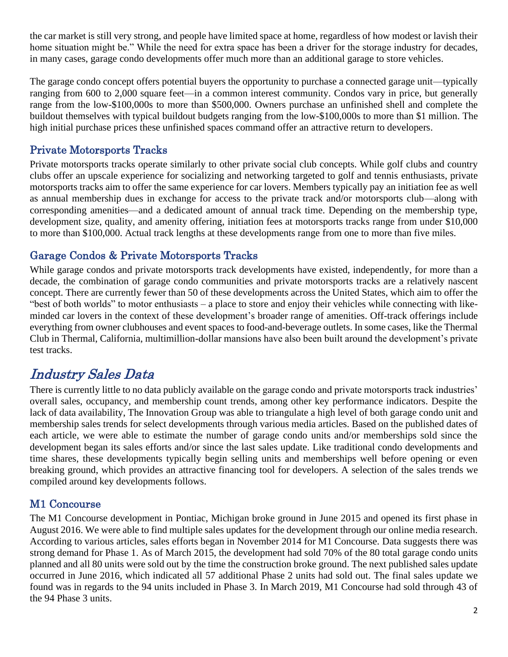the car market is still very strong, and people have limited space at home, regardless of how modest or lavish their home situation might be." While the need for extra space has been a driver for the storage industry for decades, in many cases, garage condo developments offer much more than an additional garage to store vehicles.

The garage condo concept offers potential buyers the opportunity to purchase a connected garage unit—typically ranging from 600 to 2,000 square feet—in a common interest community. Condos vary in price, but generally range from the low-\$100,000s to more than \$500,000. Owners purchase an unfinished shell and complete the buildout themselves with typical buildout budgets ranging from the low-\$100,000s to more than \$1 million. The high initial purchase prices these unfinished spaces command offer an attractive return to developers.

#### Private Motorsports Tracks

Private motorsports tracks operate similarly to other private social club concepts. While golf clubs and country clubs offer an upscale experience for socializing and networking targeted to golf and tennis enthusiasts, private motorsports tracks aim to offer the same experience for car lovers. Members typically pay an initiation fee as well as annual membership dues in exchange for access to the private track and/or motorsports club—along with corresponding amenities—and a dedicated amount of annual track time. Depending on the membership type, development size, quality, and amenity offering, initiation fees at motorsports tracks range from under \$10,000 to more than \$100,000. Actual track lengths at these developments range from one to more than five miles.

#### Garage Condos & Private Motorsports Tracks

While garage condos and private motorsports track developments have existed, independently, for more than a decade, the combination of garage condo communities and private motorsports tracks are a relatively nascent concept. There are currently fewer than 50 of these developments across the United States, which aim to offer the "best of both worlds" to motor enthusiasts – a place to store and enjoy their vehicles while connecting with likeminded car lovers in the context of these development's broader range of amenities. Off-track offerings include everything from owner clubhouses and event spaces to food-and-beverage outlets. In some cases, like the Thermal Club in Thermal, California, multimillion-dollar mansions have also been built around the development's private test tracks.

## Industry Sales Data

There is currently little to no data publicly available on the garage condo and private motorsports track industries' overall sales, occupancy, and membership count trends, among other key performance indicators. Despite the lack of data availability, The Innovation Group was able to triangulate a high level of both garage condo unit and membership sales trends for select developments through various media articles. Based on the published dates of each article, we were able to estimate the number of garage condo units and/or memberships sold since the development began its sales efforts and/or since the last sales update. Like traditional condo developments and time shares, these developments typically begin selling units and memberships well before opening or even breaking ground, which provides an attractive financing tool for developers. A selection of the sales trends we compiled around key developments follows.

#### M1 Concourse

The M1 Concourse development in Pontiac, Michigan broke ground in June 2015 and opened its first phase in August 2016. We were able to find multiple sales updates for the development through our online media research. According to various articles, sales efforts began in November 2014 for M1 Concourse. Data suggests there was strong demand for Phase 1. As of March 2015, the development had sold 70% of the 80 total garage condo units planned and all 80 units were sold out by the time the construction broke ground. The next published sales update occurred in June 2016, which indicated all 57 additional Phase 2 units had sold out. The final sales update we found was in regards to the 94 units included in Phase 3. In March 2019, M1 Concourse had sold through 43 of the 94 Phase 3 units.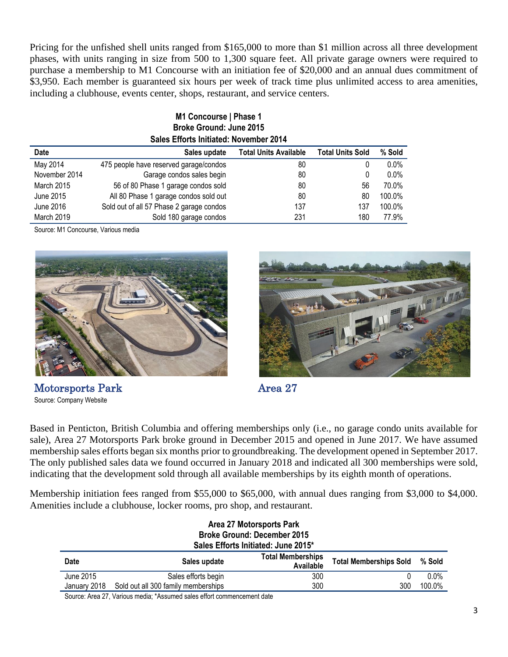Pricing for the unfished shell units ranged from \$165,000 to more than \$1 million across all three development phases, with units ranging in size from 500 to 1,300 square feet. All private garage owners were required to purchase a membership to M1 Concourse with an initiation fee of \$20,000 and an annual dues commitment of \$3,950. Each member is guaranteed six hours per week of track time plus unlimited access to area amenities, including a clubhouse, events center, shops, restaurant, and service centers.

| <b>MIL CONCOURSE   PRISE 1</b><br><b>Broke Ground: June 2015</b> |                                          |                              |                         |         |  |  |  |  |  |
|------------------------------------------------------------------|------------------------------------------|------------------------------|-------------------------|---------|--|--|--|--|--|
| Sales Efforts Initiated: November 2014                           |                                          |                              |                         |         |  |  |  |  |  |
| <b>Date</b>                                                      | Sales update                             | <b>Total Units Available</b> | <b>Total Units Sold</b> | % Sold  |  |  |  |  |  |
| May 2014                                                         | 475 people have reserved garage/condos   | 80                           | 0                       | $0.0\%$ |  |  |  |  |  |
| November 2014                                                    | Garage condos sales begin                | 80                           | 0                       | $0.0\%$ |  |  |  |  |  |
| <b>March 2015</b>                                                | 56 of 80 Phase 1 garage condos sold      | 80                           | 56                      | 70.0%   |  |  |  |  |  |
| June 2015                                                        | All 80 Phase 1 garage condos sold out    | 80                           | 80                      | 100.0%  |  |  |  |  |  |
| June 2016                                                        | Sold out of all 57 Phase 2 garage condos | 137                          | 137                     | 100.0%  |  |  |  |  |  |
| March 2019                                                       | Sold 180 garage condos                   | 231                          | 180                     | 77.9%   |  |  |  |  |  |

**M1 Concourse | Phase 1**

Source: M1 Concourse, Various media







Based in Penticton, British Columbia and offering memberships only (i.e., no garage condo units available for sale), Area 27 Motorsports Park broke ground in December 2015 and opened in June 2017. We have assumed membership sales efforts began six months prior to groundbreaking. The development opened in September 2017. The only published sales data we found occurred in January 2018 and indicated all 300 memberships were sold, indicating that the development sold through all available memberships by its eighth month of operations.

Membership initiation fees ranged from \$55,000 to \$65,000, with annual dues ranging from \$3,000 to \$4,000. Amenities include a clubhouse, locker rooms, pro shop, and restaurant.

| Area 27 Motorsports Park            |                                     |                                       |                               |         |  |  |  |  |
|-------------------------------------|-------------------------------------|---------------------------------------|-------------------------------|---------|--|--|--|--|
| <b>Broke Ground: December 2015</b>  |                                     |                                       |                               |         |  |  |  |  |
| Sales Efforts Initiated: June 2015* |                                     |                                       |                               |         |  |  |  |  |
| <b>Date</b>                         | Sales update                        | <b>Total Memberships</b><br>Available | <b>Total Memberships Sold</b> | % Sold  |  |  |  |  |
| June 2015                           | Sales efforts begin                 | 300                                   |                               | $0.0\%$ |  |  |  |  |
| January 2018                        | Sold out all 300 family memberships | 300                                   | 300                           | 100.0%  |  |  |  |  |

Source: Area 27, Various media; \*Assumed sales effort commencement date